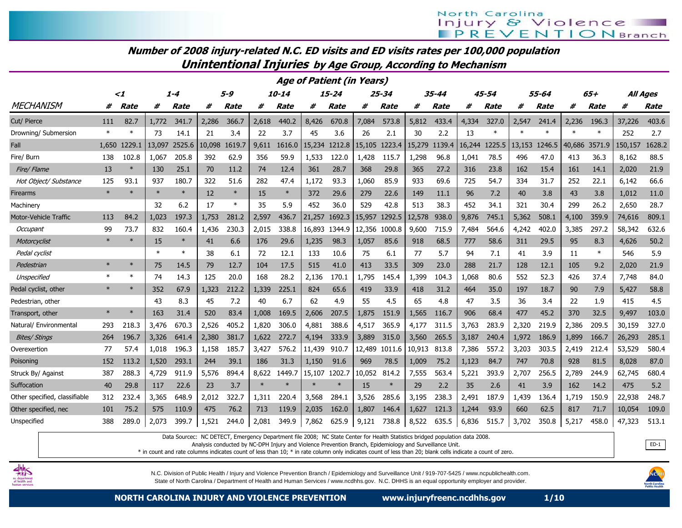Number of 2008 injury-related N.C. ED visits and ED visits rates per 100,000 population

Unintentional Injuries by Age Group, According to Mechanism

|                               |        |             |         |             |         |             |        |             |        | <b>Age of Patient (in Years)</b> |        |           |        |             |        |             |        |             |        |        |                 |        |
|-------------------------------|--------|-------------|---------|-------------|---------|-------------|--------|-------------|--------|----------------------------------|--------|-----------|--------|-------------|--------|-------------|--------|-------------|--------|--------|-----------------|--------|
|                               | -2     |             | $1 - 4$ |             | $5 - 9$ |             |        | 10-14       |        | $15 - 24$                        |        | $25 - 34$ |        | $35 - 44$   |        | 45-54       |        | 55-64       |        | $65+$  | <b>All Ages</b> |        |
| <b>MECHANISM</b>              | #      | <b>Rate</b> | #       | <b>Rate</b> | #       | <b>Rate</b> | #      | <b>Rate</b> | #      | <b>Rate</b>                      | #      | Rate      | #      | <b>Rate</b> | #      | <b>Rate</b> | #      | <b>Rate</b> | #      | Rate   | #               | Rate   |
| Cut/ Pierce                   | 111    | 82.7        | 1,772   | 341.7       | 2,286   | 366.7       | 2,618  | 440.2       | 8,426  | 670.8                            | 7,084  | 573.8     | 5.812  | 433.4       | 4,334  | 327.0       | 2.547  | 241.4       | 2.236  | 196.3  | 37,226          | 403.6  |
| Drowning/ Submersion          | $\ast$ | $\ast$      | 73      | 14.1        | 21      | 3.4         | 22     | 3.7         | 45     | 3.6                              | 26     | 2.1       | 30     | 2.2         | 13     | $\ast$      | $\ast$ | $\ast$      | $\ast$ | $\ast$ | 252             | 2.7    |
| Fall                          | 1.650  | 1229.1      | 13,097  | 2525.6      | 10,098  | 1619.7      | 9.611  | 1616.0      | 15,234 | 1212.8                           | 15,105 | 1223.4    | 5,279  | 1139.4      | 16,244 | 1225.5      | 13,153 | 1246.5      | 40,686 | 3571.9 | 150,157         | 1628.2 |
| Fire/ Burn                    | 138    | 102.8       | 1,067   | 205.8       | 392     | 62.9        | 356    | 59.9        | 1,533  | 122.0                            | 1,428  | 115.7     | 1,298  | 96.8        | 1,041  | 78.5        | 496    | 47.0        | 413    | 36.3   | 8,162           | 88.5   |
| Fire/ Flame                   | 13     | $\ast$      | 130     | 25.1        | 70      | 11.2        | 74     | 12.4        | 361    | 28.7                             | 368    | 29.8      | 365    | 27.2        | 316    | 23.8        | 162    | 15.4        | 161    | 14.1   | 2,020           | 21.9   |
| Hot Object/ Substance         | 125    | 93.1        | 937     | 180.7       | 322     | 51.6        | 282    | 47.4        | 1,172  | 93.3                             | 1,060  | 85.9      | 933    | 69.6        | 725    | 54.7        | 334    | 31.7        | 252    | 22.1   | 6,142           | 66.6   |
| Firearms                      | $\ast$ |             | $\ast$  | $\ast$      | 12      | $\ast$      | 15     | $\ast$      | 372    | 29.6                             | 279    | 22.6      | 149    | 11.1        | 96     | 7.2         | 40     | 3.8         | 43     | 3.8    | 1,012           | 11.0   |
| Machinery                     |        |             | 32      | 6.2         | 17      | $\ast$      | 35     | 5.9         | 452    | 36.0                             | 529    | 42.8      | 513    | 38.3        | 452    | 34.1        | 321    | 30.4        | 299    | 26.2   | 2,650           | 28.7   |
| Motor-Vehicle Traffic         | 113    | 84.2        | 1,023   | 197.3       | 1,753   | 281.2       | 2,597  | 436.7       | 21,257 | 1692.3                           | 15,957 | 1292.5    | 12,578 | 938.0       | 9,876  | 745.1       | 5,362  | 508.1       | 4,100  | 359.9  | 74,616          | 809.1  |
| Occupant                      | 99     | 73.7        | 832     | 160.4       | 1,436   | 230.3       | 2,015  | 338.8       | 16,893 | 1344.9                           | 12,356 | 1000.8    | 9,600  | 715.9       | 7,484  | 564.6       | 4,242  | 402.0       | 3.385  | 297.2  | 58,342          | 632.6  |
| Motorcyclist                  | $\ast$ | $\ast$      | 15      | $\ast$      | 41      | 6.6         | 176    | 29.6        | 1,235  | 98.3                             | 1,057  | 85.6      | 918    | 68.5        | 777    | 58.6        | 311    | 29.5        | 95     | 8.3    | 4,626           | 50.2   |
| Pedal cyclist                 |        |             | $\ast$  | $\ast$      | 38      | 6.1         | 72     | 12.1        | 133    | 10.6                             | 75     | 6.1       | 77     | 5.7         | 94     | 7.1         | 41     | 3.9         | 11     | $\ast$ | 546             | 5.9    |
| Pedestrian                    | $\ast$ | $\ast$      | 75      | 14.5        | 79      | 12.7        | 104    | 17.5        | 515    | 41.0                             | 413    | 33.5      | 309    | 23.0        | 288    | 21.7        | 128    | 12.1        | 105    | 9.2    | 2,020           | 21.9   |
| Unspecified                   | $\ast$ | $\ast$      | 74      | 14.3        | 125     | 20.0        | 168    | 28.2        | 2,136  | 170.1                            | 1,795  | 145.4     | 1,399  | 104.3       | 1,068  | 80.6        | 552    | 52.3        | 426    | 37.4   | 7,748           | 84.0   |
| Pedal cyclist, other          | $\ast$ | $\ast$      | 352     | 67.9        | 1,323   | 212.2       | 1,339  | 225.1       | 824    | 65.6                             | 419    | 33.9      | 418    | 31.2        | 464    | 35.0        | 197    | 18.7        | 90     | 7.9    | 5,427           | 58.8   |
| Pedestrian, other             |        |             | 43      | 8.3         | 45      | 7.2         | 40     | 6.7         | 62     | 4.9                              | 55     | 4.5       | 65     | 4.8         | 47     | 3.5         | 36     | 3.4         | 22     | 1.9    | 415             | 4.5    |
| Transport, other              | $\ast$ | $\ast$      | 163     | 31.4        | 520     | 83.4        | 1,008  | 169.5       | 2,606  | 207.5                            | 1,875  | 151.9     | 1,565  | 116.7       | 906    | 68.4        | 477    | 45.2        | 370    | 32.5   | 9,497           | 103.0  |
| Natural/ Environmental        | 293    | 218.3       | 3,476   | 670.3       | 2,526   | 405.2       | 1,820  | 306.0       | 4,881  | 388.6                            | 4,517  | 365.9     | 4,177  | 311.5       | 3,763  | 283.9       | 2,320  | 219.9       | 2,386  | 209.5  | 30,159          | 327.0  |
| <b>Bites/ Stings</b>          | 264    | 196.7       | 3,326   | 641.4       | 2,380   | 381.7       | 1,622  | 272.7       | 4,194  | 333.9                            | 3,889  | 315.0     | 3,560  | 265.5       | 3,187  | 240.4       | 1,972  | 186.9       | 1,899  | 166.7  | 26,293          | 285.1  |
| Overexertion                  | 77     | 57.4        | 1,018   | 196.3       | 1,158   | 185.7       | 3,427  | 576.2       | 11,439 | 910.7                            | 12,489 | 1011.6    | 10,913 | 813.8       | 7,386  | 557.2       | 3,203  | 303.5       | 2,419  | 212.4  | 53,529          | 580.4  |
| Poisoning                     | 152    | 113.2       | 1,520   | 293.1       | 244     | 39.1        | 186    | 31.3        | 1.150  | 91.6                             | 969    | 78.5      | 1,009  | 75.2        | 1.123  | 84.7        | 747    | 70.8        | 928    | 81.5   | 8,028           | 87.0   |
| Struck By/ Against            | 387    | 288.3       | 4,729   | 911.9       | 5,576   | 894.4       | 8,622  | 1449.7      | 15,107 | 1202.7                           | 10,052 | 814.2     | 7,555  | 563.4       | 5,221  | 393.9       | 2,707  | 256.5       | 2,789  | 244.9  | 62,745          | 680.4  |
| Suffocation                   | 40     | 29.8        | 117     | 22.6        | 23      | 3.7         | $\ast$ | $\ast$      | $\ast$ | $\ast$                           | 15     | $\ast$    | 29     | 2.2         | 35     | 2.6         | 41     | 3.9         | 162    | 14.2   | 475             | 5.2    |
| Other specified, classifiable | 312    | 232.4       | 3,365   | 648.9       | 2,012   | 322.7       | 1,311  | 220.4       | 3,568  | 284.1                            | 3,526  | 285.6     | 3,195  | 238.3       | 2,491  | 187.9       | .439   | 136.4       | 1,719  | 150.9  | 22,938          | 248.7  |
| Other specified, nec          | 101    | 75.2        | 575     | 110.9       | 475     | 76.2        | 713    | 119.9       | 2,035  | 162.0                            | 1,807  | 146.4     | 1,627  | 121.3       | 1,244  | 93.9        | 660    | 62.5        | 817    | 71.7   | 10,054          | 109.0  |
| Unspecified                   | 388    | 289.0       | 2,073   | 399.7       | 1,521   | 244.0       | 2,081  | 349.9       | 7,862  | 625.9                            | 9,121  | 738.8     | 8,522  | 635.5       | 6,836  | 515.7       | 3,702  | 350.8       | 5,217  | 458.0  | 47,323          | 513.1  |

Data Sourcec: NC DETECT, Emergency Department file 2008; NC State Center for Health Statistics bridged population data 2008.

Analysis conducted by NC-DPH Injury and Violence Prevention Branch, Epidemiology and Surveillance Unit.

\* in count and rate columns indicates count of less than 10; \* in rate column only indicates count of less than 20; blank cells indicate a count of zero.



N.C. Division of Public Health / Injury and Violence Prevention Branch / Epidemiology and Surveillance Unit / 919-707-5425 / www.ncpublichealth.com. State of North Carolina / Department of Health and Human Services / www.ncdhhs.gov. N.C. DHHS is an equal opportunity employer and provider.



ED-1

NORTH CAROLINA INJURY AND VIOLENCE PREVENTION www.injuryfreenc.ncdhhs.gov 1/10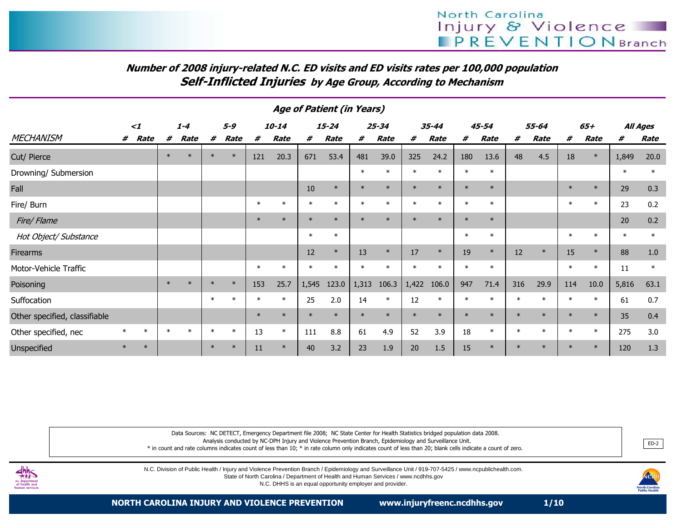# Number of 2008 injury-related N.C. ED visits and ED visits rates per 100,000 populationSelf-Inflicted Injuries by Age Group, According to Mechanism

| Age of Patient (in Years)     |          |        |         |        |         |        |        |           |        |           |        |           |        |           |        |           |        |        |        |        |        |          |
|-------------------------------|----------|--------|---------|--------|---------|--------|--------|-----------|--------|-----------|--------|-----------|--------|-----------|--------|-----------|--------|--------|--------|--------|--------|----------|
|                               | $\leq$ 1 |        | $1 - 4$ |        | $5 - 9$ |        |        | $10 - 14$ |        | $15 - 24$ |        | $25 - 34$ |        | $35 - 44$ |        | $45 - 54$ |        | 55-64  |        | $65+$  |        | All Ages |
| <b>MECHANISM</b>              | #        | Rate   | #       | Rate   | #       | Rate   | #      | Rate      | #      | Rate      | #      | Rate      | #      | Rate      | #      | Rate      | #      | Rate   | #      | Rate   | #      | Rate     |
| Cut/ Pierce                   |          |        | $\ast$  | $\ast$ | $\ast$  | $\ast$ | 121    | 20.3      | 671    | 53.4      | 481    | 39.0      | 325    | 24.2      | 180    | 13.6      | 48     | 4.5    | 18     | $\ast$ | 1,849  | 20.0     |
| Drowning/ Submersion          |          |        |         |        |         |        |        |           |        |           | $\ast$ | $\ast$    |        | $\ast$    | $\ast$ | $\ast$    |        |        |        |        | $\ast$ | $\ast$   |
| Fall                          |          |        |         |        |         |        |        |           | $10\,$ | $\ast$    | $\ast$ | $\ast$    | $\ast$ | $\ast$    | $\ast$ | $\ast$    |        |        | $\ast$ | $\ast$ | 29     | 0.3      |
| Fire/ Burn                    |          |        |         |        |         |        | $\ast$ | $\ast$    | $\ast$ | $\ast$    | $\ast$ | $\ast$    | $\ast$ | $\ast$    | $\ast$ | $\ast$    |        |        | $\ast$ | $\ast$ | 23     | 0.2      |
| Fire/Flame                    |          |        |         |        |         |        | $\ast$ | $\ast$    | $\ast$ | $\ast$    | $\ast$ | $\star$   | $\ast$ | $\ast$    | $\ast$ | $\ast$    |        |        |        |        | 20     | 0.2      |
| Hot Object/ Substance         |          |        |         |        |         |        |        |           | $\ast$ | $\ast$    |        |           |        |           | $\ast$ | $\ast$    |        |        | $\ast$ | $\ast$ | $\ast$ | $\ast$   |
| <b>Firearms</b>               |          |        |         |        |         |        |        |           | 12     | $\ast$    | 13     | $\ast$    | 17     | $\ast$    | 19     | $\ast$    | 12     | $\ast$ | 15     | $\ast$ | 88     | $1.0\,$  |
| Motor-Vehicle Traffic         |          |        |         |        |         |        | $\ast$ | $\ast$    | $\ast$ | $\ast$    | $\ast$ | $\star$   |        | $\ast$    | $\ast$ | $\ast$    |        |        | $\ast$ | $\ast$ | 11     | $\ast$   |
| Poisoning                     |          |        | $\ast$  | $\ast$ | $\ast$  | $\ast$ | 153    | 25.7      | 1,545  | 123.0     | 1,313  | 106.3     | 1,422  | 106.0     | 947    | 71.4      | 316    | 29.9   | 114    | $10.0$ | 5,816  | 63.1     |
| Suffocation                   |          |        |         |        |         | $\ast$ | $\ast$ | $\ast$    | 25     | 2.0       | 14     | $\ast$    | 12     | $\ast$    |        |           |        |        | $\ast$ | $\ast$ | 61     | 0.7      |
| Other specified, classifiable |          |        |         |        |         |        | $\ast$ | $\ast$    | $\ast$ | $\ast$    | $\ast$ | $\star$   | $\ast$ | $\ast$    | $\ast$ | $\ast$    | $\ast$ |        | $\ast$ | $\ast$ | 35     | 0.4      |
| Other specified, nec          | $\ast$   | $\ast$ | $\ast$  | $\ast$ | $\ast$  | $\ast$ | 13     | $\ast$    | 111    | 8.8       | 61     | 4.9       | 52     | 3.9       | 18     | $\ast$    | $\ast$ |        | $\ast$ | $\ast$ | 275    | 3.0      |
| Unspecified                   | $\ast$   | $\ast$ |         |        | $\ast$  | $\ast$ | 11     | $\ast$    | 40     | 3.2       | 23     | 1.9       | 20     | 1.5       | 15     |           | $\ast$ |        | $\ast$ | $\ast$ | 120    | 1.3      |

#### Age of Patient (in Years)

Data Sources: NC DETECT, Emergency Department file 2008; NC State Center for Health Statistics bridged population data 2008.

Analysis conducted by NC-DPH Injury and Violence Prevention Branch, Epidemiology and Surveillance Unit.

\* in count and rate columns indicates count of less than 10; \* in rate column only indicates count of less than 20; blank cells indicate a count of zero.



N.C. Division of Public Health / Injury and Violence Prevention Branch / Epidemiology and Surveillance Unit / 919-707-5425 / www.ncpublichealth.com.

State of North Carolina / Department of Health and Human Services / www.ncdhhs.gov

N.C. DHHS is an equal opportunity employer and provider.



ED-2

NORTH CAROLINA INJURY AND VIOLENCE PREVENTION www.injuryfreenc.ncdhhs.gov 1/10

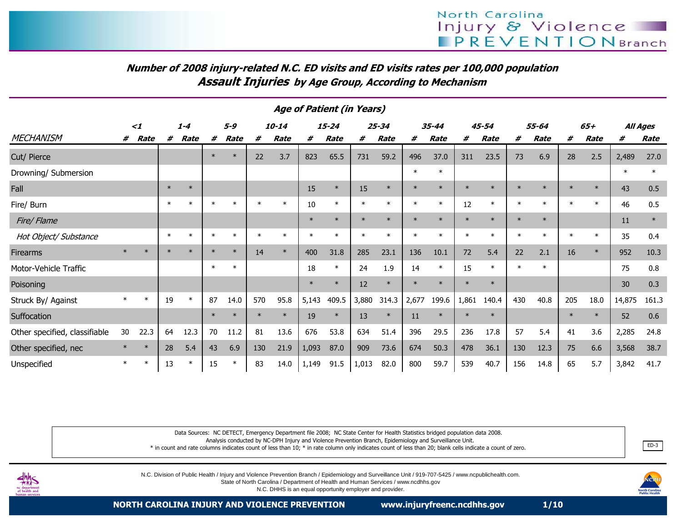# Number of 2008 injury-related N.C. ED visits and ED visits rates per 100,000 populationAssault Injuries by Age Group, According to Mechanism

|                               | Age or Patient (in Years) |             |         |             |        |         |        |             |        |             |        |             |         |             |        |           |         |             |        |        |        |          |
|-------------------------------|---------------------------|-------------|---------|-------------|--------|---------|--------|-------------|--------|-------------|--------|-------------|---------|-------------|--------|-----------|---------|-------------|--------|--------|--------|----------|
|                               | $\leq$ 1                  |             | $1 - 4$ |             |        | $5 - 9$ |        | $10 - 14$   |        | $15 - 24$   |        | $25 - 34$   |         | 35-44       |        | $45 - 54$ |         | 55-64       |        | $65+$  |        | All Ages |
| <b>MECHANISM</b>              | #                         | <b>Rate</b> | #       | <b>Rate</b> | #      | Rate    | #      | <b>Rate</b> | #      | <b>Rate</b> | #      | <b>Rate</b> | #       | <b>Rate</b> | #      | Rate      | #       | <b>Rate</b> | #      | Rate   | #      | Rate     |
| Cut/ Pierce                   |                           |             |         |             | $\ast$ | $\ast$  | 22     | 3.7         | 823    | 65.5        | 731    | 59.2        | 496     | 37.0        | 311    | 23.5      | 73      | 6.9         | 28     | 2.5    | 2,489  | 27.0     |
| Drowning/ Submersion          |                           |             |         |             |        |         |        |             |        |             |        |             | $\ast$  | $\ast$      |        |           |         |             |        |        | $\ast$ | $\ast$   |
| Fall                          |                           |             | $\ast$  | $\ast$      |        |         |        |             | 15     | $\ast$      | 15     | $\ast$      | $\ast$  | $\ast$      | $\ast$ | $\ast$    | $\ast$  |             | $\ast$ | $\ast$ | 43     | 0.5      |
| Fire/ Burn                    |                           |             | $\ast$  | $\ast$      |        | $\ast$  | $\ast$ | $\ast$      | 10     | $\ast$      | $\ast$ | $\ast$      | $\ast$  | $\ast$      | 12     | $\ast$    | $\ast$  | $\ast$      | $\ast$ | $\ast$ | 46     | 0.5      |
| Fire/Flame                    |                           |             |         |             |        |         |        |             | $\ast$ | $\ast$      | $\ast$ | $\ast$      | $\star$ | $\star$     | $\ast$ | $\ast$    | $\star$ | $\ast$      |        |        | 11     | $\ast$   |
| Hot Object/ Substance         |                           |             | $\ast$  | $\ast$      | $\ast$ | $\ast$  | $\ast$ | $\ast$      |        | $\ast$      | $\ast$ | $\ast$      | $\ast$  | $\ast$      | $\ast$ | $\ast$    |         | $\ast$      | $\ast$ | $\ast$ | 35     | 0.4      |
| Firearms                      | $\ast$                    | $\ast$      |         | $\ast$      |        | $\ast$  | 14     | $\ast$      | 400    | 31.8        | 285    | 23.1        | 136     | 10.1        | 72     | 5.4       | 22      | 2.1         | 16     | $\ast$ | 952    | 10.3     |
| Motor-Vehicle Traffic         |                           |             |         |             | $\ast$ | $\ast$  |        |             | 18     | $\ast$      | 24     | 1.9         | 14      | $\ast$      | 15     | $\ast$    | $\star$ | $\ast$      |        |        | 75     | 0.8      |
| Poisoning                     |                           |             |         |             |        |         |        |             | $\ast$ | $\ast$      | 12     | $\ast$      | $\star$ | $\star$     | $\ast$ | $\ast$    |         |             |        |        | 30     | 0.3      |
| Struck By/ Against            | $\ast$                    | $\ast$      | 19      | $\ast$      | 87     | 14.0    | 570    | 95.8        | 5,143  | 409.5       | 3,880  | 314.3       | 2,677   | 199.6       | 1,861  | 140.4     | 430     | 40.8        | 205    | 18.0   | 14,875 | 161.3    |
| Suffocation                   |                           |             |         |             | $\ast$ | $\ast$  | $\ast$ | $\ast$      | 19     | $\ast$      | 13     | $\ast$      | 11      | $\ast$      | $\ast$ | $\ast$    |         |             | $\ast$ | $\ast$ | 52     | 0.6      |
| Other specified, classifiable | 30                        | 22.3        | 64      | 12.3        | 70     | 11.2    | 81     | 13.6        | 676    | 53.8        | 634    | 51.4        | 396     | 29.5        | 236    | 17.8      | 57      | 5.4         | 41     | 3.6    | 2,285  | 24.8     |
| Other specified, nec          |                           | $\ast$      | 28      | 5.4         | 43     | 6.9     | 130    | 21.9        | 1,093  | 87.0        | 909    | 73.6        | 674     | 50.3        | 478    | 36.1      | 130     | 12.3        | 75     | 6.6    | 3,568  | 38.7     |
| Unspecified                   | $\ast$                    | $\ast$      | 13      | $\ast$      | 15     | $\ast$  | 83     | 14.0        | 1,149  | 91.5        | 1,013  | 82.0        | 800     | 59.7        | 539    | 40.7      | 156     | 14.8        | 65     | 5.7    | 3,842  | 41.7     |

Age of Patient (in Years)

Data Sources: NC DETECT, Emergency Department file 2008; NC State Center for Health Statistics bridged population data 2008.

Analysis conducted by NC-DPH Injury and Violence Prevention Branch, Epidemiology and Surveillance Unit.

 \* in count and rate columns indicates count of less than 10; \* in rate column only indicates count of less than 20; blank cells indicate a count of zero.end and the second control of the second control of the second control of the second control of the second control of the second control of the second control of the second control of the second control of the second contr



N.C. Division of Public Health / Injury and Violence Prevention Branch / Epidemiology and Surveillance Unit / 919-707-5425 / www.ncpublichealth.com.

State of North Carolina / Department of Health and Human Services / www.ncdhhs.gov

N.C. DHHS is an equal opportunity employer and provider.

NORTH CAROLINA INJURY AND VIOLENCE PREVENTION www.injuryfreenc.ncdhhs.gov 1/10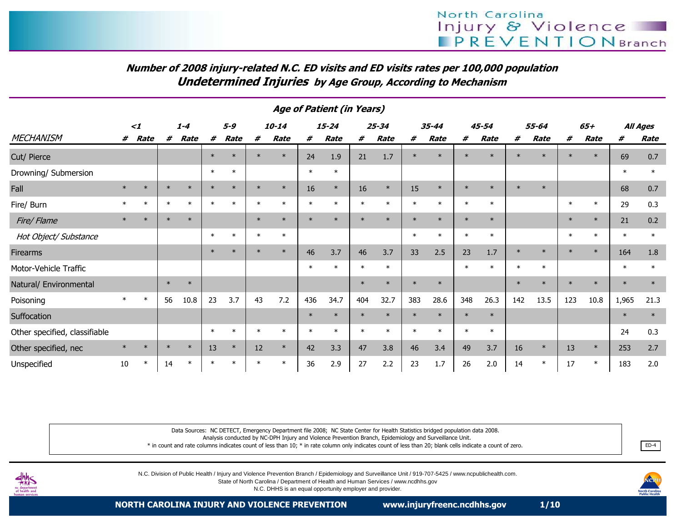# Number of 2008 injury-related N.C. ED visits and ED visits rates per 100,000 populationUndetermined Injuries by Age Group, According to Mechanism

|                               | <i>Age of Patient (in Years)</i> |          |        |             |        |             |         |             |         |           |         |           |         |         |        |             |         |             |        |        |        |          |
|-------------------------------|----------------------------------|----------|--------|-------------|--------|-------------|---------|-------------|---------|-----------|---------|-----------|---------|---------|--------|-------------|---------|-------------|--------|--------|--------|----------|
|                               |                                  | $\leq$ 1 |        | $1 - 4$     |        | $5 - 9$     |         | $10 - 14$   |         | $15 - 24$ |         | $25 - 34$ |         | 35-44   |        | 45-54       |         | 55-64       |        | 65+    |        | All Ages |
| <b>MECHANISM</b>              | #                                | Rate     | #      | <b>Rate</b> | #      | <b>Rate</b> | #       | <b>Rate</b> | #       | Rate      | #       | Rate      | #       | Rate    | #      | <b>Rate</b> | #       | <b>Rate</b> | #      | Rate   | #      | Rate     |
| Cut/ Pierce                   |                                  |          |        |             | $\ast$ | $\ast$      | $\star$ | $\ast$      | 24      | 1.9       | 21      | 1.7       | $\ast$  | $\star$ | $\ast$ | $\star$     |         | $\star$     | $\ast$ |        | 69     | 0.7      |
| Drowning/ Submersion          |                                  |          |        |             | $\ast$ | $\ast$      |         |             | $\ast$  | $\ast$    |         |           |         |         |        |             |         |             |        |        | $\ast$ | $\ast$   |
| Fall                          | $\ast$                           | $\ast$   | $\ast$ | $\ast$      | $\ast$ | $\ast$      | $\ast$  | $\ast$      | 16      | $\ast$    | 16      | $\ast$    | 15      | $\ast$  | $\ast$ | $\ast$      |         | $\ast$      |        |        | 68     | 0.7      |
| Fire/ Burn                    |                                  | $\ast$   | $\ast$ | $\ast$      |        | $\ast$      | $\ast$  | $\ast$      | $\ast$  | $\ast$    | $\ast$  | $\ast$    | $\ast$  | $\ast$  | $\ast$ | $\ast$      |         |             | $\ast$ | $\ast$ | 29     | 0.3      |
| Fire/Flame                    |                                  | $\ast$   |        | $\ast$      |        |             | $\ast$  | $\ast$      | $\star$ | $\star$   | $\star$ | $\ast$    | $\star$ | $\star$ | $\ast$ | $\ast$      |         |             | $\ast$ | $\ast$ | 21     | 0.2      |
| Hot Object/ Substance         |                                  |          |        |             | $\ast$ | $\ast$      | $\ast$  | $\ast$      |         |           |         |           | $\ast$  | $\ast$  | $\ast$ | $\ast$      |         |             | $\ast$ | $\ast$ | $\ast$ | $\ast$   |
| <b>Firearms</b>               |                                  |          |        |             | $\ast$ | $\ast$      |         | $\ast$      | 46      | 3.7       | 46      | 3.7       | 33      | 2.5     | 23     | 1.7         | $\ast$  | $\ast$      | $\ast$ | $\ast$ | 164    | 1.8      |
| Motor-Vehicle Traffic         |                                  |          |        |             |        |             |         |             | $\ast$  | $\ast$    | $\ast$  | $\ast$    |         |         | $\ast$ | $\ast$      | $\star$ | $\ast$      |        |        | $\ast$ | $\ast$   |
| Natural/ Environmental        |                                  |          | $\ast$ | $\ast$      |        |             |         |             |         |           | $\ast$  | $\ast$    | $\star$ | $\ast$  |        |             | $\star$ | $\ast$      | $\ast$ |        | $\ast$ | $\ast$   |
| Poisoning                     |                                  | $\ast$   | 56     | 10.8        | 23     | 3.7         | 43      | 7.2         | 436     | 34.7      | 404     | 32.7      | 383     | 28.6    | 348    | 26.3        | 142     | 13.5        | 123    | 10.8   | 1,965  | 21.3     |
| Suffocation                   |                                  |          |        |             |        |             |         |             | $\ast$  | $\ast$    | $\ast$  | $\ast$    | $\star$ | $\ast$  | $\ast$ | $\ast$      |         |             |        |        | $\ast$ | $\ast$   |
| Other specified, classifiable |                                  |          |        |             | $\ast$ | $\ast$      | $\ast$  | $\ast$      | $\ast$  | $\ast$    | $\ast$  | $\ast$    | $\ast$  | $\ast$  | $\ast$ | $\ast$      |         |             |        |        | 24     | 0.3      |
| Other specified, nec          | $\ast$                           | $\ast$   | $\ast$ | $\ast$      | 13     | $\ast$      | 12      | $\ast$      | 42      | 3.3       | 47      | 3.8       | 46      | 3.4     | 49     | 3.7         | 16      | $\ast$      | 13     | $\ast$ | 253    | 2.7      |
| Unspecified                   | 10                               | $\ast$   | 14     | $\ast$      |        | $\ast$      | $\ast$  | $\ast$      | 36      | 2.9       | 27      | 2.2       | 23      | 1.7     | 26     | 2.0         | 14      | $\ast$      | 17     | $\ast$ | 183    | 2.0      |

#### Age of Patient (in Years)

Data Sources: NC DETECT, Emergency Department file 2008; NC State Center for Health Statistics bridged population data 2008.

Analysis conducted by NC-DPH Injury and Violence Prevention Branch, Epidemiology and Surveillance Unit.

 \* in count and rate columns indicates count of less than 10; \* in rate column only indicates count of less than 20; blank cells indicate a count of zero.essays and the contract of the contract of the contract of the contract of the contract of the contract of the contract of the contract of the contract of the contract of the contract of the contract of the contract of the



N.C. Division of Public Health / Injury and Violence Prevention Branch / Epidemiology and Surveillance Unit / 919-707-5425 / www.ncpublichealth.com.

State of North Carolina / Department of Health and Human Services / www.ncdhhs.gov

N.C. DHHS is an equal opportunity employer and provider.